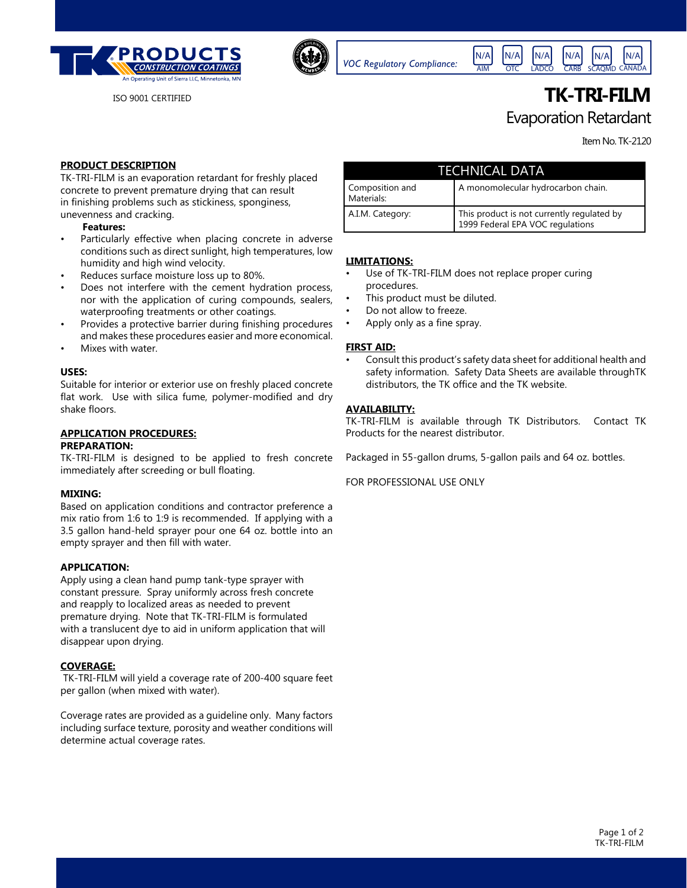



*VOC Regulatory Compliance:*

N/A N/A N/A LADCO OTC N/A SCAQMD CANADA N/A **CARB** N/A

# ISO 9001 CERTIFIED **TK-TRI-FILM** Evaporation Retardant

Item No. TK-2120

# **PRODUCT DESCRIPTION**

TK-TRI-FILM is an evaporation retardant for freshly placed concrete to prevent premature drying that can result in finishing problems such as stickiness, sponginess, unevenness and cracking.

#### **Features:**

- Particularly effective when placing concrete in adverse conditions such as direct sunlight, high temperatures, low humidity and high wind velocity.
- Reduces surface moisture loss up to 80%.
- Does not interfere with the cement hydration process, nor with the application of curing compounds, sealers, waterproofing treatments or other coatings.
- Provides a protective barrier during finishing procedures and makes these procedures easier and more economical.
- Mixes with water.

### **USES:**

Suitable for interior or exterior use on freshly placed concrete flat work. Use with silica fume, polymer-modified and dry shake floors.

# **APPLICATION PROCEDURES:**

#### **PREPARATION:**

TK-TRI-FILM is designed to be applied to fresh concrete immediately after screeding or bull floating.

#### **MIXING:**

Based on application conditions and contractor preference a mix ratio from 1:6 to 1:9 is recommended. If applying with a 3.5 gallon hand-held sprayer pour one 64 oz. bottle into an empty sprayer and then fill with water.

# **APPLICATION:**

Apply using a clean hand pump tank-type sprayer with constant pressure. Spray uniformly across fresh concrete and reapply to localized areas as needed to prevent premature drying. Note that TK-TRI-FILM is formulated with a translucent dye to aid in uniform application that will disappear upon drying.

# **COVERAGE:**

 TK-TRI-FILM will yield a coverage rate of 200-400 square feet per gallon (when mixed with water).

Coverage rates are provided as a guideline only. Many factors including surface texture, porosity and weather conditions will determine actual coverage rates.

| TECHNICAL DATA                |                                                                                |
|-------------------------------|--------------------------------------------------------------------------------|
| Composition and<br>Materials: | A monomolecular hydrocarbon chain.                                             |
| A.I.M. Category:              | This product is not currently regulated by<br>1999 Federal EPA VOC regulations |

AIM

### **LIMITATIONS:**

- Use of TK-TRI-FILM does not replace proper curing procedures.
- This product must be diluted.
- Do not allow to freeze.
- Apply only as a fine spray.

# **FIRST AID:**

• Consult this product's safety data sheet for additional health and safety information. Safety Data Sheets are available throughTK distributors, the TK office and the TK website.

# **AVAILABILITY:**

TK-TRI-FILM is available through TK Distributors. Contact TK Products for the nearest distributor.

Packaged in 55-gallon drums, 5-gallon pails and 64 oz. bottles.

FOR PROFESSIONAL USE ONLY